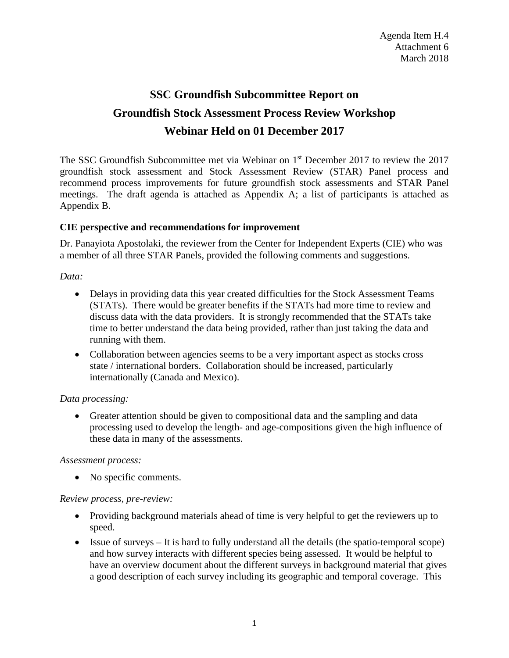# **SSC Groundfish Subcommittee Report on Groundfish Stock Assessment Process Review Workshop Webinar Held on 01 December 2017**

The SSC Groundfish Subcommittee met via Webinar on 1<sup>st</sup> December 2017 to review the 2017 groundfish stock assessment and Stock Assessment Review (STAR) Panel process and recommend process improvements for future groundfish stock assessments and STAR Panel meetings. The draft agenda is attached as Appendix A; a list of participants is attached as Appendix B.

## **CIE perspective and recommendations for improvement**

Dr. Panayiota Apostolaki, the reviewer from the Center for Independent Experts (CIE) who was a member of all three STAR Panels, provided the following comments and suggestions.

*Data:*

- Delays in providing data this year created difficulties for the Stock Assessment Teams (STATs). There would be greater benefits if the STATs had more time to review and discuss data with the data providers. It is strongly recommended that the STATs take time to better understand the data being provided, rather than just taking the data and running with them.
- Collaboration between agencies seems to be a very important aspect as stocks cross state / international borders. Collaboration should be increased, particularly internationally (Canada and Mexico).

## *Data processing:*

• Greater attention should be given to compositional data and the sampling and data processing used to develop the length- and age-compositions given the high influence of these data in many of the assessments.

#### *Assessment process:*

• No specific comments.

## *Review process, pre-review:*

- Providing background materials ahead of time is very helpful to get the reviewers up to speed.
- Issue of surveys It is hard to fully understand all the details (the spatio-temporal scope) and how survey interacts with different species being assessed. It would be helpful to have an overview document about the different surveys in background material that gives a good description of each survey including its geographic and temporal coverage. This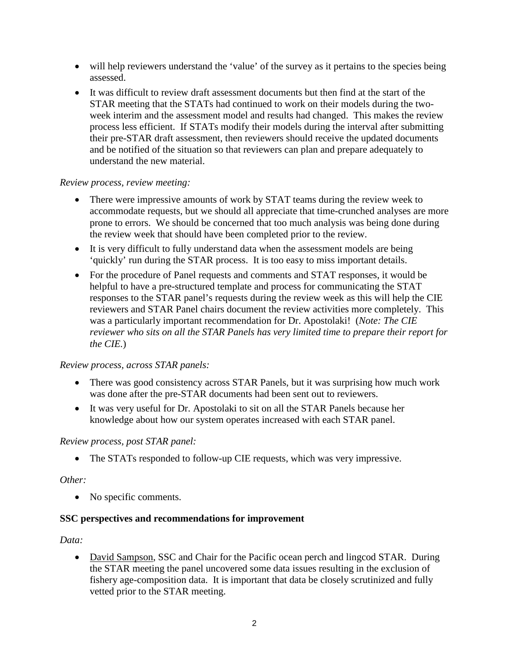- will help reviewers understand the 'value' of the survey as it pertains to the species being assessed.
- It was difficult to review draft assessment documents but then find at the start of the STAR meeting that the STATs had continued to work on their models during the twoweek interim and the assessment model and results had changed. This makes the review process less efficient. If STATs modify their models during the interval after submitting their pre-STAR draft assessment, then reviewers should receive the updated documents and be notified of the situation so that reviewers can plan and prepare adequately to understand the new material.

#### *Review process, review meeting:*

- There were impressive amounts of work by STAT teams during the review week to accommodate requests, but we should all appreciate that time-crunched analyses are more prone to errors. We should be concerned that too much analysis was being done during the review week that should have been completed prior to the review.
- It is very difficult to fully understand data when the assessment models are being 'quickly' run during the STAR process. It is too easy to miss important details.
- For the procedure of Panel requests and comments and STAT responses, it would be helpful to have a pre-structured template and process for communicating the STAT responses to the STAR panel's requests during the review week as this will help the CIE reviewers and STAR Panel chairs document the review activities more completely. This was a particularly important recommendation for Dr. Apostolaki! (*Note: The CIE reviewer who sits on all the STAR Panels has very limited time to prepare their report for the CIE.*)

## *Review process, across STAR panels:*

- There was good consistency across STAR Panels, but it was surprising how much work was done after the pre-STAR documents had been sent out to reviewers.
- It was very useful for Dr. Apostolaki to sit on all the STAR Panels because her knowledge about how our system operates increased with each STAR panel.

#### *Review process, post STAR panel:*

• The STATs responded to follow-up CIE requests, which was very impressive.

## *Other:*

• No specific comments.

## **SSC perspectives and recommendations for improvement**

#### *Data:*

• David Sampson, SSC and Chair for the Pacific ocean perch and lingcod STAR. During the STAR meeting the panel uncovered some data issues resulting in the exclusion of fishery age-composition data. It is important that data be closely scrutinized and fully vetted prior to the STAR meeting.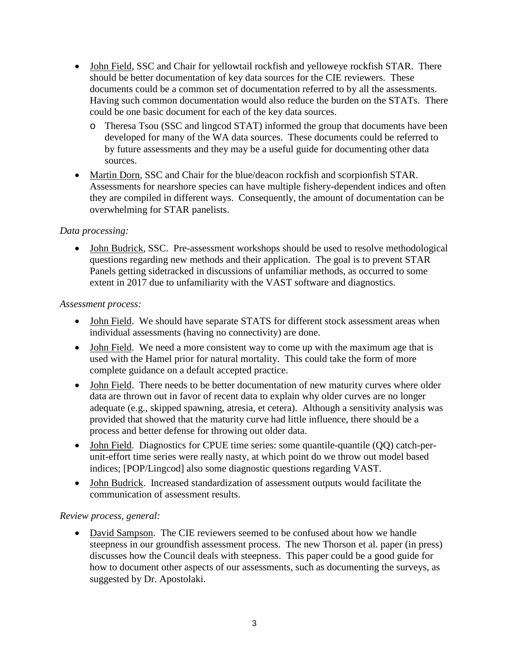- John Field, SSC and Chair for yellowtail rockfish and yelloweye rockfish STAR. There should be better documentation of key data sources for the CIE reviewers. These documents could be a common set of documentation referred to by all the assessments. Having such common documentation would also reduce the burden on the STATs. There could be one basic document for each of the key data sources.
	- o Theresa Tsou (SSC and lingcod STAT) informed the group that documents have been developed for many of the WA data sources. These documents could be referred to by future assessments and they may be a useful guide for documenting other data sources.
- Martin Dorn, SSC and Chair for the blue/deacon rockfish and scorpionfish STAR. Assessments for nearshore species can have multiple fishery-dependent indices and often they are compiled in different ways. Consequently, the amount of documentation can be overwhelming for STAR panelists.

## *Data processing:*

• John Budrick, SSC. Pre-assessment workshops should be used to resolve methodological questions regarding new methods and their application. The goal is to prevent STAR Panels getting sidetracked in discussions of unfamiliar methods, as occurred to some extent in 2017 due to unfamiliarity with the VAST software and diagnostics.

## *Assessment process:*

- John Field. We should have separate STATS for different stock assessment areas when individual assessments (having no connectivity) are done.
- John Field. We need a more consistent way to come up with the maximum age that is used with the Hamel prior for natural mortality. This could take the form of more complete guidance on a default accepted practice.
- John Field. There needs to be better documentation of new maturity curves where older data are thrown out in favor of recent data to explain why older curves are no longer adequate (e.g., skipped spawning, atresia, et cetera). Although a sensitivity analysis was provided that showed that the maturity curve had little influence, there should be a process and better defense for throwing out older data.
- John Field. Diagnostics for CPUE time series: some quantile-quantile (QQ) catch-perunit-effort time series were really nasty, at which point do we throw out model based indices; [POP/Lingcod] also some diagnostic questions regarding VAST.
- John Budrick. Increased standardization of assessment outputs would facilitate the communication of assessment results.

## *Review process, general:*

• David Sampson. The CIE reviewers seemed to be confused about how we handle steepness in our groundfish assessment process. The new Thorson et al. paper (in press) discusses how the Council deals with steepness. This paper could be a good guide for how to document other aspects of our assessments, such as documenting the surveys, as suggested by Dr. Apostolaki.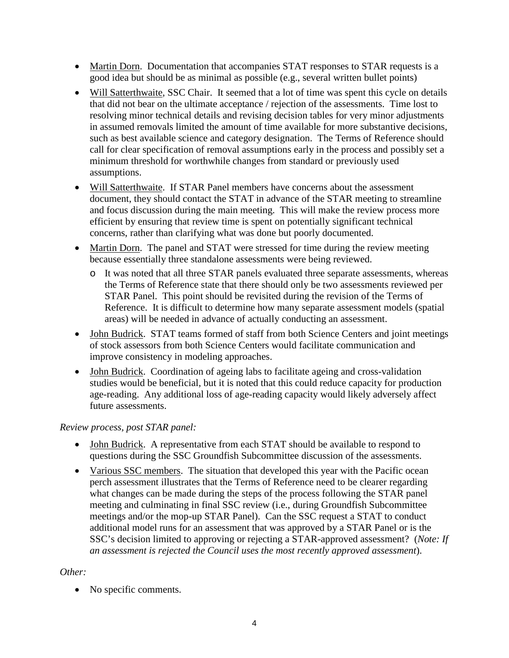- Martin Dorn. Documentation that accompanies STAT responses to STAR requests is a good idea but should be as minimal as possible (e.g., several written bullet points)
- Will Satterthwaite, SSC Chair. It seemed that a lot of time was spent this cycle on details that did not bear on the ultimate acceptance / rejection of the assessments. Time lost to resolving minor technical details and revising decision tables for very minor adjustments in assumed removals limited the amount of time available for more substantive decisions, such as best available science and category designation. The Terms of Reference should call for clear specification of removal assumptions early in the process and possibly set a minimum threshold for worthwhile changes from standard or previously used assumptions.
- Will Satterthwaite. If STAR Panel members have concerns about the assessment document, they should contact the STAT in advance of the STAR meeting to streamline and focus discussion during the main meeting. This will make the review process more efficient by ensuring that review time is spent on potentially significant technical concerns, rather than clarifying what was done but poorly documented.
- Martin Dorn. The panel and STAT were stressed for time during the review meeting because essentially three standalone assessments were being reviewed.
	- o It was noted that all three STAR panels evaluated three separate assessments, whereas the Terms of Reference state that there should only be two assessments reviewed per STAR Panel. This point should be revisited during the revision of the Terms of Reference. It is difficult to determine how many separate assessment models (spatial areas) will be needed in advance of actually conducting an assessment.
- John Budrick. STAT teams formed of staff from both Science Centers and joint meetings of stock assessors from both Science Centers would facilitate communication and improve consistency in modeling approaches.
- John Budrick. Coordination of ageing labs to facilitate ageing and cross-validation studies would be beneficial, but it is noted that this could reduce capacity for production age-reading. Any additional loss of age-reading capacity would likely adversely affect future assessments.

## *Review process, post STAR panel:*

- John Budrick. A representative from each STAT should be available to respond to questions during the SSC Groundfish Subcommittee discussion of the assessments.
- Various SSC members. The situation that developed this year with the Pacific ocean perch assessment illustrates that the Terms of Reference need to be clearer regarding what changes can be made during the steps of the process following the STAR panel meeting and culminating in final SSC review (i.e., during Groundfish Subcommittee meetings and/or the mop-up STAR Panel). Can the SSC request a STAT to conduct additional model runs for an assessment that was approved by a STAR Panel or is the SSC's decision limited to approving or rejecting a STAR-approved assessment? (*Note: If an assessment is rejected the Council uses the most recently approved assessment*).

## *Other:*

• No specific comments.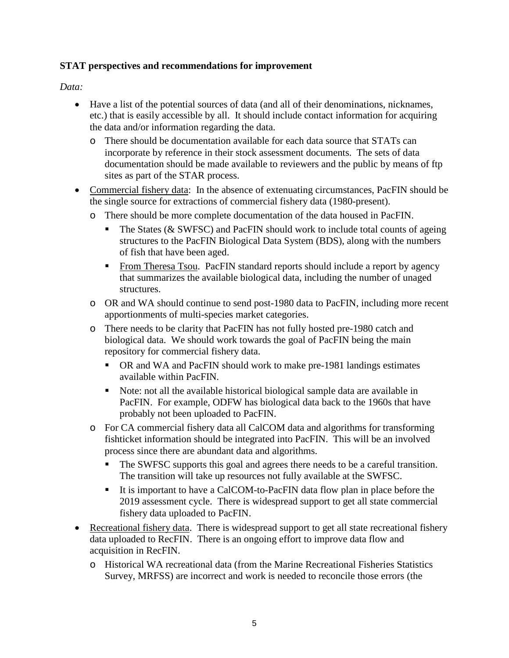## **STAT perspectives and recommendations for improvement**

## *Data:*

- Have a list of the potential sources of data (and all of their denominations, nicknames, etc.) that is easily accessible by all. It should include contact information for acquiring the data and/or information regarding the data.
	- o There should be documentation available for each data source that STATs can incorporate by reference in their stock assessment documents. The sets of data documentation should be made available to reviewers and the public by means of ftp sites as part of the STAR process.
- Commercial fishery data: In the absence of extenuating circumstances, PacFIN should be the single source for extractions of commercial fishery data (1980-present).
	- o There should be more complete documentation of the data housed in PacFIN.
		- The States ( $&$  SWFSC) and PacFIN should work to include total counts of ageing structures to the PacFIN Biological Data System (BDS), along with the numbers of fish that have been aged.
		- From Theresa Tsou. PacFIN standard reports should include a report by agency that summarizes the available biological data, including the number of unaged structures.
	- o OR and WA should continue to send post-1980 data to PacFIN, including more recent apportionments of multi-species market categories.
	- o There needs to be clarity that PacFIN has not fully hosted pre-1980 catch and biological data. We should work towards the goal of PacFIN being the main repository for commercial fishery data.
		- OR and WA and PacFIN should work to make pre-1981 landings estimates available within PacFIN.
		- Note: not all the available historical biological sample data are available in PacFIN. For example, ODFW has biological data back to the 1960s that have probably not been uploaded to PacFIN.
	- o For CA commercial fishery data all CalCOM data and algorithms for transforming fishticket information should be integrated into PacFIN. This will be an involved process since there are abundant data and algorithms.
		- The SWFSC supports this goal and agrees there needs to be a careful transition. The transition will take up resources not fully available at the SWFSC.
		- It is important to have a CalCOM-to-PacFIN data flow plan in place before the 2019 assessment cycle. There is widespread support to get all state commercial fishery data uploaded to PacFIN.
- Recreational fishery data. There is widespread support to get all state recreational fishery data uploaded to RecFIN. There is an ongoing effort to improve data flow and acquisition in RecFIN.
	- o Historical WA recreational data (from the Marine Recreational Fisheries Statistics Survey, MRFSS) are incorrect and work is needed to reconcile those errors (the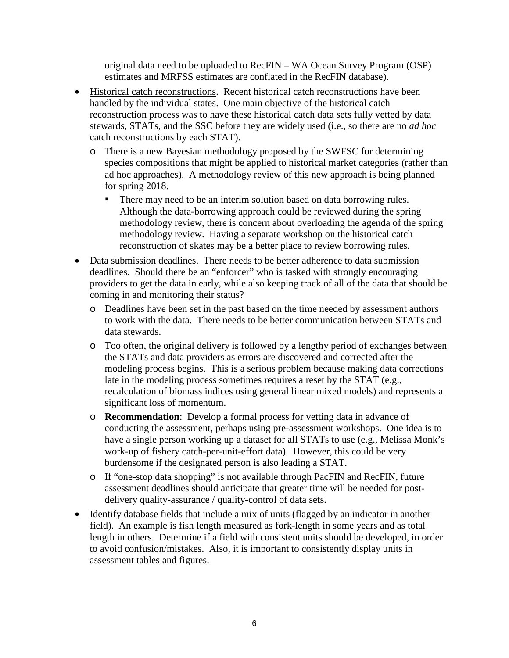original data need to be uploaded to RecFIN – WA Ocean Survey Program (OSP) estimates and MRFSS estimates are conflated in the RecFIN database).

- Historical catch reconstructions. Recent historical catch reconstructions have been handled by the individual states. One main objective of the historical catch reconstruction process was to have these historical catch data sets fully vetted by data stewards, STATs, and the SSC before they are widely used (i.e., so there are no *ad hoc* catch reconstructions by each STAT).
	- o There is a new Bayesian methodology proposed by the SWFSC for determining species compositions that might be applied to historical market categories (rather than ad hoc approaches). A methodology review of this new approach is being planned for spring 2018.
		- There may need to be an interim solution based on data borrowing rules. Although the data-borrowing approach could be reviewed during the spring methodology review, there is concern about overloading the agenda of the spring methodology review. Having a separate workshop on the historical catch reconstruction of skates may be a better place to review borrowing rules.
- Data submission deadlines. There needs to be better adherence to data submission deadlines. Should there be an "enforcer" who is tasked with strongly encouraging providers to get the data in early, while also keeping track of all of the data that should be coming in and monitoring their status?
	- o Deadlines have been set in the past based on the time needed by assessment authors to work with the data. There needs to be better communication between STATs and data stewards.
	- o Too often, the original delivery is followed by a lengthy period of exchanges between the STATs and data providers as errors are discovered and corrected after the modeling process begins. This is a serious problem because making data corrections late in the modeling process sometimes requires a reset by the STAT (e.g., recalculation of biomass indices using general linear mixed models) and represents a significant loss of momentum.
	- o **Recommendation**: Develop a formal process for vetting data in advance of conducting the assessment, perhaps using pre-assessment workshops. One idea is to have a single person working up a dataset for all STATs to use (e.g., Melissa Monk's work-up of fishery catch-per-unit-effort data). However, this could be very burdensome if the designated person is also leading a STAT.
	- o If "one-stop data shopping" is not available through PacFIN and RecFIN, future assessment deadlines should anticipate that greater time will be needed for postdelivery quality-assurance / quality-control of data sets.
- Identify database fields that include a mix of units (flagged by an indicator in another field). An example is fish length measured as fork-length in some years and as total length in others. Determine if a field with consistent units should be developed, in order to avoid confusion/mistakes. Also, it is important to consistently display units in assessment tables and figures.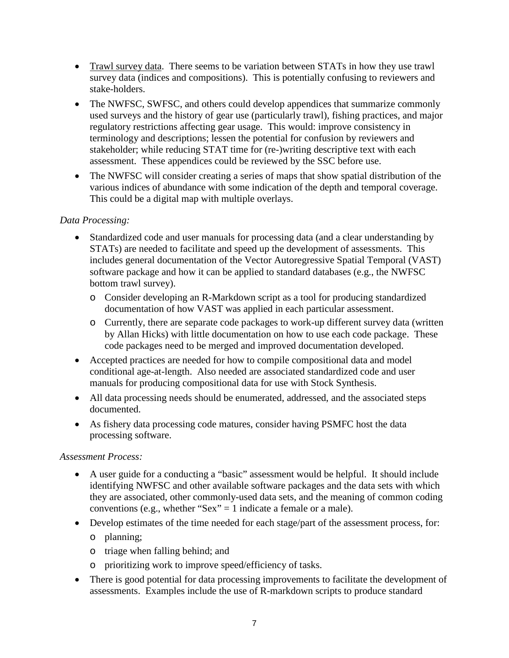- Trawl survey data. There seems to be variation between STATs in how they use trawl survey data (indices and compositions). This is potentially confusing to reviewers and stake-holders.
- The NWFSC, SWFSC, and others could develop appendices that summarize commonly used surveys and the history of gear use (particularly trawl), fishing practices, and major regulatory restrictions affecting gear usage. This would: improve consistency in terminology and descriptions; lessen the potential for confusion by reviewers and stakeholder; while reducing STAT time for (re-)writing descriptive text with each assessment. These appendices could be reviewed by the SSC before use.
- The NWFSC will consider creating a series of maps that show spatial distribution of the various indices of abundance with some indication of the depth and temporal coverage. This could be a digital map with multiple overlays.

## *Data Processing:*

- Standardized code and user manuals for processing data (and a clear understanding by STATs) are needed to facilitate and speed up the development of assessments. This includes general documentation of the Vector Autoregressive Spatial Temporal (VAST) software package and how it can be applied to standard databases (e.g., the NWFSC bottom trawl survey).
	- o Consider developing an R-Markdown script as a tool for producing standardized documentation of how VAST was applied in each particular assessment.
	- o Currently, there are separate code packages to work-up different survey data (written by Allan Hicks) with little documentation on how to use each code package. These code packages need to be merged and improved documentation developed.
- Accepted practices are needed for how to compile compositional data and model conditional age-at-length. Also needed are associated standardized code and user manuals for producing compositional data for use with Stock Synthesis.
- All data processing needs should be enumerated, addressed, and the associated steps documented.
- As fishery data processing code matures, consider having PSMFC host the data processing software.

## *Assessment Process:*

- A user guide for a conducting a "basic" assessment would be helpful. It should include identifying NWFSC and other available software packages and the data sets with which they are associated, other commonly-used data sets, and the meaning of common coding conventions (e.g., whether "Sex"  $=$  1 indicate a female or a male).
- Develop estimates of the time needed for each stage/part of the assessment process, for:
	- o planning;
	- o triage when falling behind; and
	- o prioritizing work to improve speed/efficiency of tasks.
- There is good potential for data processing improvements to facilitate the development of assessments. Examples include the use of R-markdown scripts to produce standard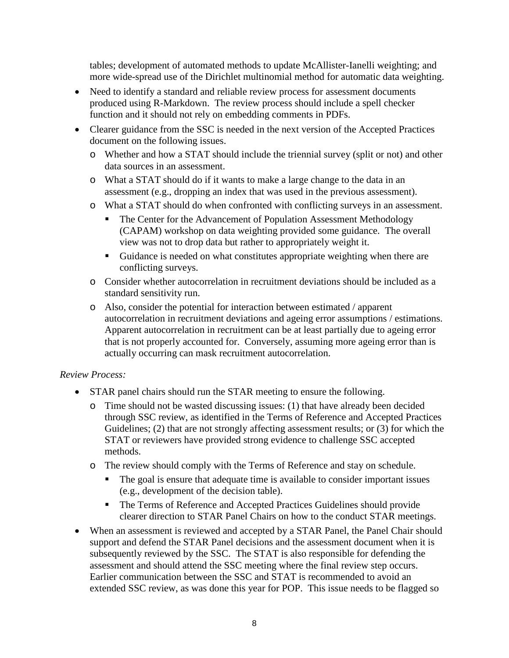tables; development of automated methods to update McAllister-Ianelli weighting; and more wide-spread use of the Dirichlet multinomial method for automatic data weighting.

- Need to identify a standard and reliable review process for assessment documents produced using R-Markdown. The review process should include a spell checker function and it should not rely on embedding comments in PDFs.
- Clearer guidance from the SSC is needed in the next version of the Accepted Practices document on the following issues.
	- o Whether and how a STAT should include the triennial survey (split or not) and other data sources in an assessment.
	- o What a STAT should do if it wants to make a large change to the data in an assessment (e.g., dropping an index that was used in the previous assessment).
	- o What a STAT should do when confronted with conflicting surveys in an assessment.
		- The Center for the Advancement of Population Assessment Methodology (CAPAM) workshop on data weighting provided some guidance. The overall view was not to drop data but rather to appropriately weight it.
		- Guidance is needed on what constitutes appropriate weighting when there are conflicting surveys.
	- o Consider whether autocorrelation in recruitment deviations should be included as a standard sensitivity run.
	- o Also, consider the potential for interaction between estimated / apparent autocorrelation in recruitment deviations and ageing error assumptions / estimations. Apparent autocorrelation in recruitment can be at least partially due to ageing error that is not properly accounted for. Conversely, assuming more ageing error than is actually occurring can mask recruitment autocorrelation.

## *Review Process:*

- STAR panel chairs should run the STAR meeting to ensure the following.
	- o Time should not be wasted discussing issues: (1) that have already been decided through SSC review, as identified in the Terms of Reference and Accepted Practices Guidelines; (2) that are not strongly affecting assessment results; or (3) for which the STAT or reviewers have provided strong evidence to challenge SSC accepted methods.
	- o The review should comply with the Terms of Reference and stay on schedule.
		- The goal is ensure that adequate time is available to consider important issues (e.g., development of the decision table).
		- The Terms of Reference and Accepted Practices Guidelines should provide clearer direction to STAR Panel Chairs on how to the conduct STAR meetings.
- When an assessment is reviewed and accepted by a STAR Panel, the Panel Chair should support and defend the STAR Panel decisions and the assessment document when it is subsequently reviewed by the SSC. The STAT is also responsible for defending the assessment and should attend the SSC meeting where the final review step occurs. Earlier communication between the SSC and STAT is recommended to avoid an extended SSC review, as was done this year for POP. This issue needs to be flagged so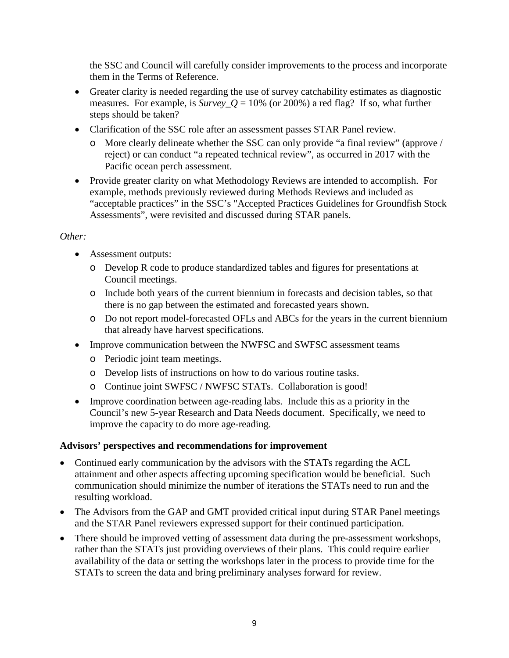the SSC and Council will carefully consider improvements to the process and incorporate them in the Terms of Reference.

- Greater clarity is needed regarding the use of survey catchability estimates as diagnostic measures. For example, is  $Survey_Q = 10\%$  (or 200%) a red flag? If so, what further steps should be taken?
- Clarification of the SSC role after an assessment passes STAR Panel review.
	- o More clearly delineate whether the SSC can only provide "a final review" (approve / reject) or can conduct "a repeated technical review", as occurred in 2017 with the Pacific ocean perch assessment.
- Provide greater clarity on what Methodology Reviews are intended to accomplish. For example, methods previously reviewed during Methods Reviews and included as "acceptable practices" in the SSC's "Accepted Practices Guidelines for Groundfish Stock Assessments", were revisited and discussed during STAR panels.

#### *Other:*

- Assessment outputs:
	- o Develop R code to produce standardized tables and figures for presentations at Council meetings.
	- o Include both years of the current biennium in forecasts and decision tables, so that there is no gap between the estimated and forecasted years shown.
	- o Do not report model-forecasted OFLs and ABCs for the years in the current biennium that already have harvest specifications.
- Improve communication between the NWFSC and SWFSC assessment teams
	- o Periodic joint team meetings.
	- o Develop lists of instructions on how to do various routine tasks.
	- o Continue joint SWFSC / NWFSC STATs. Collaboration is good!
- Improve coordination between age-reading labs. Include this as a priority in the Council's new 5-year Research and Data Needs document. Specifically, we need to improve the capacity to do more age-reading.

## **Advisors' perspectives and recommendations for improvement**

- Continued early communication by the advisors with the STATs regarding the ACL attainment and other aspects affecting upcoming specification would be beneficial. Such communication should minimize the number of iterations the STATs need to run and the resulting workload.
- The Advisors from the GAP and GMT provided critical input during STAR Panel meetings and the STAR Panel reviewers expressed support for their continued participation.
- There should be improved vetting of assessment data during the pre-assessment workshops, rather than the STATs just providing overviews of their plans. This could require earlier availability of the data or setting the workshops later in the process to provide time for the STATs to screen the data and bring preliminary analyses forward for review.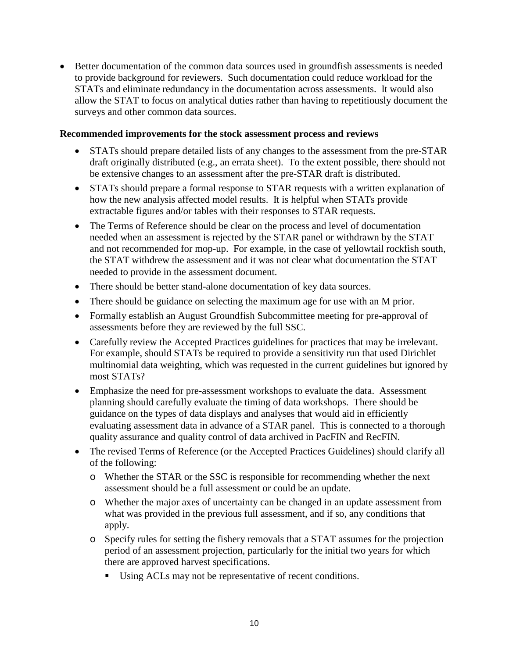• Better documentation of the common data sources used in groundfish assessments is needed to provide background for reviewers. Such documentation could reduce workload for the STATs and eliminate redundancy in the documentation across assessments. It would also allow the STAT to focus on analytical duties rather than having to repetitiously document the surveys and other common data sources.

#### **Recommended improvements for the stock assessment process and reviews**

- STATs should prepare detailed lists of any changes to the assessment from the pre-STAR draft originally distributed (e.g., an errata sheet). To the extent possible, there should not be extensive changes to an assessment after the pre-STAR draft is distributed.
- STATs should prepare a formal response to STAR requests with a written explanation of how the new analysis affected model results. It is helpful when STATs provide extractable figures and/or tables with their responses to STAR requests.
- The Terms of Reference should be clear on the process and level of documentation needed when an assessment is rejected by the STAR panel or withdrawn by the STAT and not recommended for mop-up. For example, in the case of yellowtail rockfish south, the STAT withdrew the assessment and it was not clear what documentation the STAT needed to provide in the assessment document.
- There should be better stand-alone documentation of key data sources.
- There should be guidance on selecting the maximum age for use with an M prior.
- Formally establish an August Groundfish Subcommittee meeting for pre-approval of assessments before they are reviewed by the full SSC.
- Carefully review the Accepted Practices guidelines for practices that may be irrelevant. For example, should STATs be required to provide a sensitivity run that used Dirichlet multinomial data weighting, which was requested in the current guidelines but ignored by most STATs?
- Emphasize the need for pre-assessment workshops to evaluate the data. Assessment planning should carefully evaluate the timing of data workshops. There should be guidance on the types of data displays and analyses that would aid in efficiently evaluating assessment data in advance of a STAR panel. This is connected to a thorough quality assurance and quality control of data archived in PacFIN and RecFIN.
- The revised Terms of Reference (or the Accepted Practices Guidelines) should clarify all of the following:
	- o Whether the STAR or the SSC is responsible for recommending whether the next assessment should be a full assessment or could be an update.
	- o Whether the major axes of uncertainty can be changed in an update assessment from what was provided in the previous full assessment, and if so, any conditions that apply.
	- o Specify rules for setting the fishery removals that a STAT assumes for the projection period of an assessment projection, particularly for the initial two years for which there are approved harvest specifications.
		- Using ACLs may not be representative of recent conditions.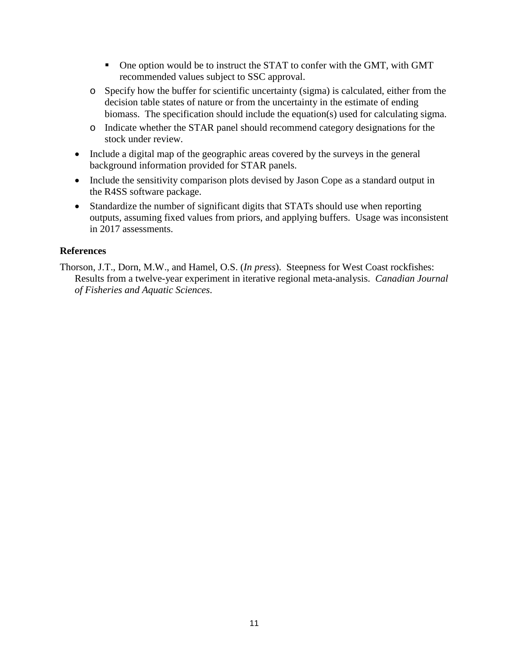- One option would be to instruct the STAT to confer with the GMT, with GMT recommended values subject to SSC approval.
- o Specify how the buffer for scientific uncertainty (sigma) is calculated, either from the decision table states of nature or from the uncertainty in the estimate of ending biomass. The specification should include the equation(s) used for calculating sigma.
- o Indicate whether the STAR panel should recommend category designations for the stock under review.
- Include a digital map of the geographic areas covered by the surveys in the general background information provided for STAR panels.
- Include the sensitivity comparison plots devised by Jason Cope as a standard output in the R4SS software package.
- Standardize the number of significant digits that STATs should use when reporting outputs, assuming fixed values from priors, and applying buffers. Usage was inconsistent in 2017 assessments.

## **References**

Thorson, J.T., Dorn, M.W., and Hamel, O.S. (*In press*). Steepness for West Coast rockfishes: Results from a twelve-year experiment in iterative regional meta-analysis. *Canadian Journal of Fisheries and Aquatic Sciences*.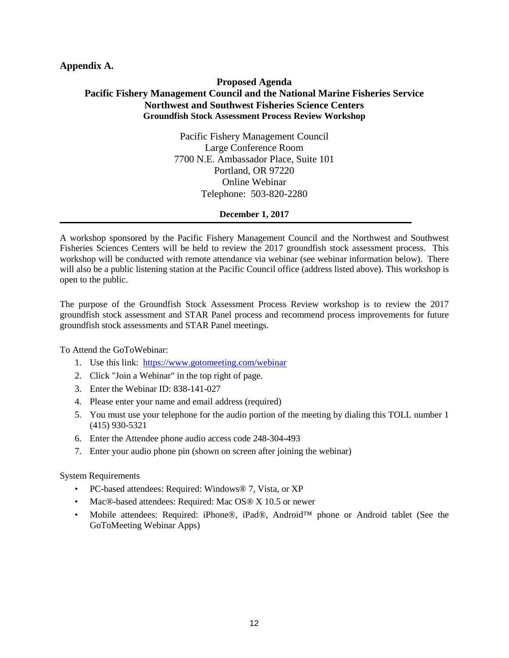#### **Appendix A.**

#### **Proposed Agenda Pacific Fishery Management Council and the National Marine Fisheries Service Northwest and Southwest Fisheries Science Centers Groundfish Stock Assessment Process Review Workshop**

Pacific Fishery Management Council Large Conference Room 7700 N.E. Ambassador Place, Suite 101 Portland, OR 97220 Online Webinar Telephone: 503-820-2280

#### **December 1, 2017**

A workshop sponsored by the Pacific Fishery Management Council and the Northwest and Southwest Fisheries Sciences Centers will be held to review the 2017 groundfish stock assessment process. This workshop will be conducted with remote attendance via webinar (see webinar information below). There will also be a public listening station at the Pacific Council office (address listed above). This workshop is open to the public.

The purpose of the Groundfish Stock Assessment Process Review workshop is to review the 2017 groundfish stock assessment and STAR Panel process and recommend process improvements for future groundfish stock assessments and STAR Panel meetings.

To Attend the GoToWebinar:

- 1. Use this link: <https://www.gotomeeting.com/webinar>
- 2. Click "Join a Webinar" in the top right of page.
- 3. Enter the Webinar ID: 838-141-027
- 4. Please enter your name and email address (required)
- 5. You must use your telephone for the audio portion of the meeting by dialing this TOLL number 1 (415) 930-5321
- 6. Enter the Attendee phone audio access code 248-304-493
- 7. Enter your audio phone pin (shown on screen after joining the webinar)

#### System Requirements

- PC-based attendees: Required: Windows® 7, Vista, or XP
- Mac®-based attendees: Required: Mac OS® X 10.5 or newer
- Mobile attendees: Required: iPhone®, iPad®, Android™ phone or Android tablet (See the GoToMeeting Webinar Apps)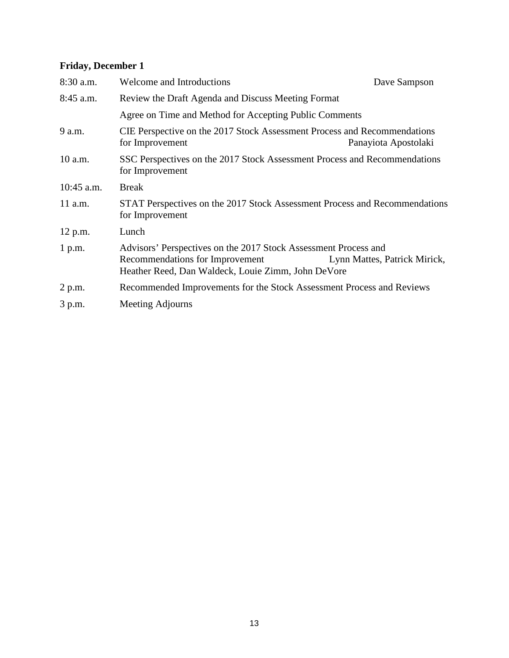## **Friday, December 1**

| $8:30$ a.m.  | <b>Welcome and Introductions</b>                                                                                                                         | Dave Sampson                 |  |
|--------------|----------------------------------------------------------------------------------------------------------------------------------------------------------|------------------------------|--|
| 8:45 a.m.    | Review the Draft Agenda and Discuss Meeting Format                                                                                                       |                              |  |
|              | Agree on Time and Method for Accepting Public Comments                                                                                                   |                              |  |
| 9 a.m.       | CIE Perspective on the 2017 Stock Assessment Process and Recommendations<br>for Improvement                                                              | Panayiota Apostolaki         |  |
| $10$ a.m.    | SSC Perspectives on the 2017 Stock Assessment Process and Recommendations<br>for Improvement                                                             |                              |  |
| $10:45$ a.m. | <b>Break</b>                                                                                                                                             |                              |  |
| $11$ a.m.    | STAT Perspectives on the 2017 Stock Assessment Process and Recommendations<br>for Improvement                                                            |                              |  |
| 12 p.m.      | Lunch                                                                                                                                                    |                              |  |
| 1 p.m.       | Advisors' Perspectives on the 2017 Stock Assessment Process and<br>Recommendations for Improvement<br>Heather Reed, Dan Waldeck, Louie Zimm, John DeVore | Lynn Mattes, Patrick Mirick, |  |
| 2 p.m.       | Recommended Improvements for the Stock Assessment Process and Reviews                                                                                    |                              |  |
| 3 p.m.       | Meeting Adjourns                                                                                                                                         |                              |  |